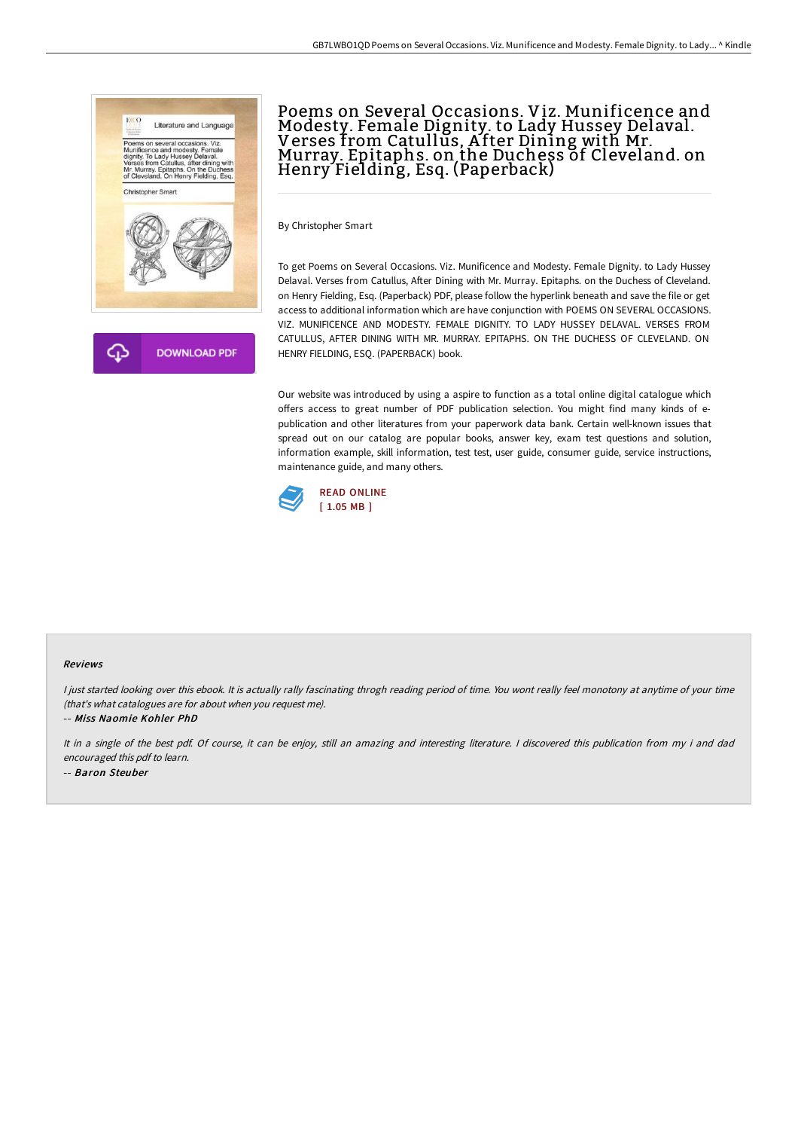

# Poems on Several Occasions. Viz. Munificence and Modesty. Female Dignity. to Lady Hussey Delaval. Verses from Catullus, After Dining with Mr.<br>Murray. Epitaphs. on the Duchess of Cleveland. on Henry Fielding, Esq. (Paperback)

By Christopher Smart

To get Poems on Several Occasions. Viz. Munificence and Modesty. Female Dignity. to Lady Hussey Delaval. Verses from Catullus, After Dining with Mr. Murray. Epitaphs. on the Duchess of Cleveland. on Henry Fielding, Esq. (Paperback) PDF, please follow the hyperlink beneath and save the file or get access to additional information which are have conjunction with POEMS ON SEVERAL OCCASIONS. VIZ. MUNIFICENCE AND MODESTY. FEMALE DIGNITY. TO LADY HUSSEY DELAVAL. VERSES FROM CATULLUS, AFTER DINING WITH MR. MURRAY. EPITAPHS. ON THE DUCHESS OF CLEVELAND. ON HENRY FIELDING, ESQ. (PAPERBACK) book.

Our website was introduced by using a aspire to function as a total online digital catalogue which offers access to great number of PDF publication selection. You might find many kinds of epublication and other literatures from your paperwork data bank. Certain well-known issues that spread out on our catalog are popular books, answer key, exam test questions and solution, information example, skill information, test test, user guide, consumer guide, service instructions, maintenance guide, and many others.



#### Reviews

I just started looking over this ebook. It is actually rally fascinating throgh reading period of time. You wont really feel monotony at anytime of your time (that's what catalogues are for about when you request me).

-- Miss Naomie Kohler PhD

It in <sup>a</sup> single of the best pdf. Of course, it can be enjoy, still an amazing and interesting literature. <sup>I</sup> discovered this publication from my i and dad encouraged this pdf to learn. -- Baron Steuber